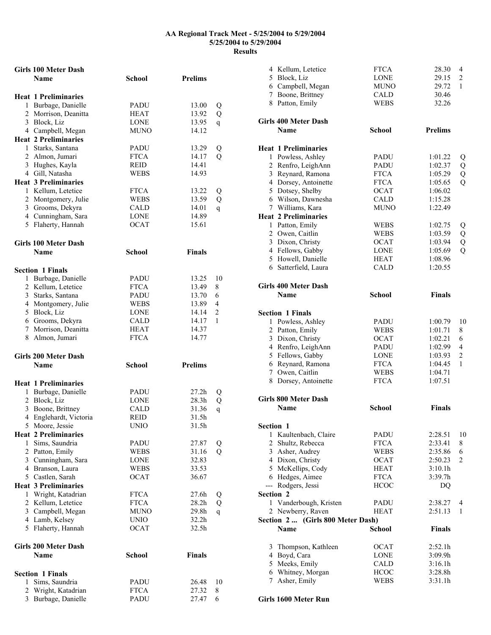|   | <b>Girls 100 Meter Dash</b> |               |                   |               |
|---|-----------------------------|---------------|-------------------|---------------|
|   | <b>Name</b>                 | <b>School</b> | <b>Prelims</b>    |               |
|   |                             |               |                   |               |
|   | <b>Heat 1 Preliminaries</b> |               |                   |               |
|   | 1 Burbage, Danielle         | PADU          | 13.00             | Q             |
|   | 2 Morrison, Deanitta        | HEAT          | 13.92             | Q             |
|   | 3 Block, Liz                | LONE          | 13.95             | q             |
|   | 4 Campbell, Megan           | MUNO          | 14.12             |               |
|   | <b>Heat 2 Preliminaries</b> |               |                   |               |
|   | 1 Starks, Santana           | <b>PADU</b>   | 13.29             | Q             |
|   | 2 Almon, Jumari             | <b>FTCA</b>   | 14.17             | Q             |
|   | 3 Hughes, Kayla             | REID          | 14.41             |               |
|   | 4 Gill, Natasha             | <b>WEBS</b>   | 14.93             |               |
|   | <b>Heat 3 Preliminaries</b> |               |                   |               |
|   | 1 Kellum, Letetice          | <b>FTCA</b>   | 13.22             |               |
|   | 2 Montgomery, Julie         | WEBS          | 13.59             | Q             |
|   |                             | CALD          |                   | Q             |
|   | 3 Grooms, Dekyra            |               | 14.01             | q             |
|   | 4 Cunningham, Sara          | LONE          | 14.89             |               |
|   | 5 Flaherty, Hannah          | <b>OCAT</b>   | 15.61             |               |
|   |                             |               |                   |               |
|   | <b>Girls 100 Meter Dash</b> |               |                   |               |
|   | <b>Name</b>                 | <b>School</b> | <b>Finals</b>     |               |
|   |                             |               |                   |               |
|   | <b>Section 1 Finals</b>     |               |                   |               |
| 1 | Burbage, Danielle           | PADU          | 13.25             | 10            |
|   | 2 Kellum, Letetice          | <b>FTCA</b>   | 13.49             | 8             |
|   | 3 Starks, Santana           | PADU          | 13.70             | 6             |
|   | 4 Montgomery, Julie         | WEBS          | 13.89             | 4             |
|   | 5 Block, Liz                | LONE          | 14.14             | 2             |
|   | 6 Grooms, Dekyra            | <b>CALD</b>   | 14.17             | 1             |
|   | 7 Morrison, Deanitta        | <b>HEAT</b>   | 14.37             |               |
|   |                             |               |                   |               |
|   |                             |               |                   |               |
|   | 8 Almon, Jumari             | <b>FTCA</b>   | 14.77             |               |
|   |                             |               |                   |               |
|   | <b>Girls 200 Meter Dash</b> |               |                   |               |
|   | <b>Name</b>                 | <b>School</b> | <b>Prelims</b>    |               |
|   |                             |               |                   |               |
|   | <b>Heat 1 Preliminaries</b> |               |                   |               |
|   | 1 Burbage, Danielle         | PADU          | 27.2 <sub>h</sub> | Q             |
|   | 2 Block, Liz                | LONE          | 28.3h             | Q             |
|   | 3 Boone, Brittney           | CALD          | 31.36             | q             |
|   | 4 Englehardt, Victoria      | REID          | 31.5h             |               |
|   | 5 Moore, Jessie             | UNIO          | 31.5h             |               |
|   | <b>Heat 2 Preliminaries</b> |               |                   |               |
| 1 | Sims, Saundria              | PADU          | 27.87             | Q             |
|   | 2 Patton, Emily             | <b>WEBS</b>   | 31.16             | $\mathcal{O}$ |
|   | 3 Cunningham, Sara          | LONE          | 32.83             |               |
|   | 4 Branson, Laura            | WEBS          | 33.53             |               |
|   | 5 Castlen, Sarah            | <b>OCAT</b>   | 36.67             |               |
|   | <b>Heat 3 Preliminaries</b> |               |                   |               |
|   | 1 Wright, Katadrian         | <b>FTCA</b>   | 27.6h             | Q             |
|   | 2 Kellum, Letetice          | <b>FTCA</b>   | 28.2 <sub>h</sub> | Q             |
|   | 3 Campbell, Megan           | <b>MUNO</b>   | 29.8h             | q             |
|   | 4 Lamb, Kelsey              | UNIO          | 32.2h             |               |
|   | 5 Flaherty, Hannah          | <b>OCAT</b>   | 32.5h             |               |
|   |                             |               |                   |               |
|   | <b>Girls 200 Meter Dash</b> |               |                   |               |
|   | Name                        | <b>School</b> | <b>Finals</b>     |               |
|   |                             |               |                   |               |
|   | <b>Section 1 Finals</b>     |               |                   |               |
| 1 | Sims, Saundria              | PADU          | 26.48             | 10            |
|   | 2 Wright, Katadrian         | <b>FTCA</b>   | 27.32             | 8             |

|           | 4 Kellum, Letetice<br>5 Block, Liz<br>6 Campbell, Megan<br>7 Boone, Brittney<br>8 Patton, Emily | <b>FTCA</b><br><b>LONE</b><br><b>MUNO</b><br>CALD<br><b>WEBS</b> | 28.30<br>29.15<br>29.72<br>30.46<br>32.26 | 4<br>2<br>1    |
|-----------|-------------------------------------------------------------------------------------------------|------------------------------------------------------------------|-------------------------------------------|----------------|
|           | <b>Girls 400 Meter Dash</b><br><b>Name</b>                                                      | <b>School</b>                                                    | <b>Prelims</b>                            |                |
|           | <b>Heat 1 Preliminaries</b>                                                                     |                                                                  |                                           |                |
|           | 1 Powless, Ashley                                                                               | PADU                                                             | 1:01.22                                   | Q              |
|           | 2 Renfro, LeighAnn                                                                              | PADU                                                             | 1:02.37                                   | Q              |
|           | 3 Reynard, Ramona                                                                               | <b>FTCA</b>                                                      | 1:05.29                                   | Q              |
|           | 4 Dorsey, Antoinette                                                                            | <b>FTCA</b>                                                      | 1:05.65                                   | Q              |
|           | 5 Dotsey, Shelby                                                                                | <b>OCAT</b>                                                      | 1:06.02                                   |                |
|           | 6 Wilson, Dawnesha                                                                              | CALD                                                             | 1:15.28                                   |                |
|           | 7 Williams, Kara                                                                                | <b>MUNO</b>                                                      | 1:22.49                                   |                |
|           | <b>Heat 2 Preliminaries</b>                                                                     |                                                                  |                                           |                |
|           | 1 Patton, Emily                                                                                 | <b>WEBS</b>                                                      | 1:02.75                                   | Q              |
|           | 2 Owen, Caitlin                                                                                 | <b>WEBS</b>                                                      | 1:03.59                                   | Q              |
|           | 3 Dixon, Christy                                                                                | <b>OCAT</b>                                                      | 1:03.94                                   | Q              |
|           | 4 Fellows, Gabby                                                                                | <b>LONE</b>                                                      | 1:05.69                                   | $\overline{Q}$ |
|           | 5 Howell, Danielle                                                                              | <b>HEAT</b>                                                      | 1:08.96                                   |                |
|           | 6 Satterfield, Laura                                                                            | <b>CALD</b>                                                      | 1:20.55                                   |                |
|           |                                                                                                 |                                                                  |                                           |                |
|           | <b>Girls 400 Meter Dash</b>                                                                     |                                                                  |                                           |                |
|           | Name                                                                                            | <b>School</b>                                                    | <b>Finals</b>                             |                |
|           |                                                                                                 |                                                                  |                                           |                |
|           | <b>Section 1 Finals</b>                                                                         |                                                                  |                                           |                |
|           | 1 Powless, Ashley                                                                               | PADU                                                             | 1:00.79                                   | 10             |
|           | 2 Patton, Emily                                                                                 | <b>WEBS</b>                                                      | 1:01.71                                   | 8              |
|           | 3 Dixon, Christy                                                                                | <b>OCAT</b>                                                      | 1:02.21                                   | 6              |
|           | 4 Renfro, LeighAnn                                                                              | PADU                                                             | 1:02.99                                   | 4              |
|           | 5 Fellows, Gabby                                                                                | <b>LONE</b>                                                      | 1:03.93                                   | 2              |
|           | 6 Reynard, Ramona                                                                               | <b>FTCA</b>                                                      | 1:04.45                                   | 1              |
|           | 7 Owen, Caitlin                                                                                 | <b>WEBS</b>                                                      | 1:04.71                                   |                |
|           | 8 Dorsey, Antoinette                                                                            | <b>FTCA</b>                                                      | 1:07.51                                   |                |
|           |                                                                                                 |                                                                  |                                           |                |
|           | <b>Girls 800 Meter Dash</b>                                                                     |                                                                  |                                           |                |
|           | <b>Name</b>                                                                                     | <b>School</b>                                                    | <b>Finals</b>                             |                |
|           |                                                                                                 |                                                                  |                                           |                |
| Section 1 |                                                                                                 |                                                                  |                                           |                |
|           | 1 Kaultenbach, Claire                                                                           | <b>PADU</b>                                                      | 2:28.51                                   | 10             |
|           | 2 Shultz, Rebecca                                                                               | <b>FTCA</b>                                                      | 2:33.41                                   | 8              |
|           | 3 Asher, Audrey                                                                                 | WEBS                                                             | 2:35.86                                   | 6              |
|           | 4 Dixon, Christy                                                                                | <b>OCAT</b>                                                      | 2:50.23                                   | $\overline{c}$ |
|           | 5 McKellips, Cody                                                                               | <b>HEAT</b>                                                      | 3:10.1h                                   |                |
|           | 6 Hedges, Aimee                                                                                 | <b>FTCA</b>                                                      | 3:39.7h                                   |                |
|           | --- Rodgers, Jessi                                                                              | <b>HCOC</b>                                                      | D <sub>O</sub>                            |                |
| Section 2 |                                                                                                 |                                                                  |                                           |                |
|           | 1 Vanderbough, Kristen                                                                          | <b>PADU</b>                                                      | 2:38.27                                   | 4              |
|           | 2 Newberry, Raven                                                                               | <b>HEAT</b>                                                      | 2:51.13                                   | 1              |
|           | Section 2  (Girls 800 Meter Dash)                                                               |                                                                  |                                           |                |
|           | <b>Name</b>                                                                                     | <b>School</b>                                                    | <b>Finals</b>                             |                |
|           |                                                                                                 | <b>OCAT</b>                                                      | 2:52.1h                                   |                |
|           | 3 Thompson, Kathleen<br>4 Boyd, Cara                                                            | <b>LONE</b>                                                      | 3:09.9h                                   |                |
| 5         | Meeks, Emily                                                                                    | <b>CALD</b>                                                      | 3:16.1h                                   |                |
|           | 6 Whitney, Morgan                                                                               | <b>HCOC</b>                                                      | 3:28.8h                                   |                |
| 7         | Asher, Emily                                                                                    | WEBS                                                             | 3:31.1h                                   |                |
|           |                                                                                                 |                                                                  |                                           |                |

**Girls 1600 Meter Run**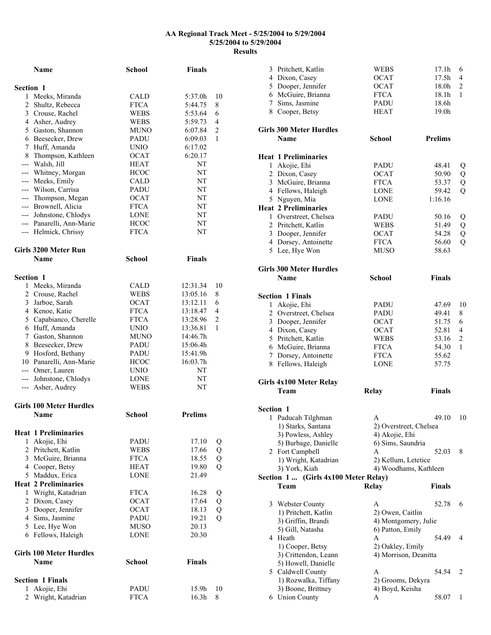|                  | Name                                        | School                     | <b>Finals</b>  |                |
|------------------|---------------------------------------------|----------------------------|----------------|----------------|
| <b>Section 1</b> |                                             |                            |                |                |
| 1                | Meeks, Miranda                              | CALD                       | 5:37.0h        | 10             |
|                  | 2 Shultz, Rebecca                           | <b>FTCA</b>                | 5:44.75        | 8              |
|                  | 3 Crouse, Rachel                            | WEBS                       | 5:53.64        | 6              |
|                  | 4 Asher, Audrey                             | WEBS                       | 5:59.73        | 4              |
|                  | 5 Gaston, Shannon                           | MUNO                       | 6:07.84        | $\overline{2}$ |
|                  | 6 Beesecker, Drew                           | PADU                       | 6:09.03        | 1              |
|                  | 7 Huff, Amanda                              | <b>UNIO</b>                | 6:17.02        |                |
|                  | 8 Thompson, Kathleen                        | <b>OCAT</b>                | 6:20.17        |                |
|                  | --- Walsh, Jill                             | HEAT                       | NT             |                |
|                  | --- Whitney, Morgan                         | <b>HCOC</b>                | NT             |                |
|                  | --- Meeks, Emily                            | CALD                       | NΤ             |                |
|                  | --- Wilson, Carrisa                         | PADU                       | NT             |                |
|                  | --- Thompson, Megan                         | <b>OCAT</b>                | NT             |                |
|                  | --- Brownell, Alicia                        | <b>FTCA</b>                | NT             |                |
|                  | --- Johnstone, Chlodys                      | LONE                       | NT             |                |
|                  | --- Panarelli, Ann-Marie                    | HCOC                       | NΤ             |                |
|                  | --- Helmick, Chrissy                        | <b>FTCA</b>                | NT             |                |
|                  | Girls 3200 Meter Run                        |                            |                |                |
|                  | <b>Name</b>                                 | <b>School</b>              | <b>Finals</b>  |                |
| Section 1        |                                             |                            |                |                |
| 1                | Meeks, Miranda                              | CALD                       | 12:31.34       | 10             |
|                  | 2 Crouse, Rachel                            | WEBS                       | 13:05.16       | 8              |
|                  | 3 Jarboe, Sarah                             | <b>OCAT</b>                | 13:12.11       | 6              |
|                  | 4 Kenoe, Katie                              | <b>FTCA</b>                | 13:18.47       | 4              |
|                  | 5 Capabianco, Cherelle                      | <b>FTCA</b>                | 13:28.96       | 2              |
|                  | 6 Huff, Amanda                              | UNIO                       | 13:36.81       | 1              |
|                  | 7 Gaston, Shannon                           | MUNO                       | 14:46.7h       |                |
|                  | 8 Beesecker, Drew                           | PADU                       | 15:06.4h       |                |
|                  | 9 Hosford, Bethany                          | PADU                       | 15:41.9h       |                |
|                  | 10 Panarelli, Ann-Marie                     | <b>HCOC</b>                | 16:03.7h       |                |
|                  | --- Omer, Lauren                            | UNIO                       | NT             |                |
|                  | --- Johnstone, Chlodys<br>--- Asher, Audrey | LONE<br>WEBS               | NΤ<br>NT       |                |
|                  | <b>Girls 100 Meter Hurdles</b>              |                            |                |                |
|                  | Name                                        | School                     | <b>Prelims</b> |                |
|                  |                                             |                            |                |                |
|                  | <b>Heat 1 Preliminaries</b>                 |                            |                |                |
|                  | 1 Akojie, Ehi                               | PADU                       | 17.10          | Q              |
|                  | 2 Pritchett, Katlin                         | <b>WEBS</b>                | 17.66          | Q              |
|                  | 3 McGuire, Brianna                          | FTCA                       | 18.55          | Q              |
|                  | 4 Cooper, Betsy                             | HEAT                       | 19.80          | Q              |
|                  | 5 Maddux, Erica                             | <b>LONE</b>                | 21.49          |                |
|                  | <b>Heat 2 Preliminaries</b>                 |                            |                |                |
|                  | 1 Wright, Katadrian                         | <b>FTCA</b>                | 16.28          | Q              |
|                  | 2 Dixon, Casey                              | <b>OCAT</b>                | 17.64          | Q<br>Q<br>Q    |
|                  | 3 Dooper, Jennifer                          | <b>OCAT</b>                | 18.13          |                |
|                  | 4 Sims, Jasmine                             | PADU                       | 19.21          |                |
|                  | 5 Lee, Hye Won<br>6 Fellows, Haleigh        | <b>MUSO</b><br><b>LONE</b> | 20.13<br>20.30 |                |
|                  | <b>Girls 100 Meter Hurdles</b>              |                            |                |                |
|                  | Name                                        | <b>School</b>              | <b>Finals</b>  |                |
|                  | <b>Section 1 Finals</b>                     |                            |                |                |
| 1                | Akojie, Ehi                                 | PADU                       | 15.9h          | 10             |
| 2                | Wright, Katadrian                           | <b>FTCA</b>                | 16.3h          | 8              |
|                  |                                             |                            |                |                |

|           | 3 Pritchett, Katlin                        | <b>WEBS</b>            | 17.1 <sub>h</sub> | 6              |
|-----------|--------------------------------------------|------------------------|-------------------|----------------|
|           | 4 Dixon, Casey                             | OCAT                   | 17.5h             | 4              |
|           | 5 Dooper, Jennifer                         | <b>OCAT</b>            |                   | $\overline{2}$ |
|           |                                            |                        | 18.0h             |                |
|           | 6 McGuire, Brianna                         | <b>FTCA</b>            | 18.1h             | 1              |
|           | 7 Sims, Jasmine                            | PADU                   | 18.6h             |                |
|           | 8 Cooper, Betsy                            | <b>HEAT</b>            | 19.0 <sub>h</sub> |                |
|           | <b>Girls 300 Meter Hurdles</b>             |                        |                   |                |
|           | <b>Name</b>                                | School                 | <b>Prelims</b>    |                |
|           | <b>Heat 1 Preliminaries</b>                |                        |                   |                |
|           | 1 Akojie, Ehi                              | <b>PADU</b>            | 48.41             |                |
|           | 2 Dixon, Casey                             | <b>OCAT</b>            | 50.90             | Q<br>Q         |
|           | 3 McGuire, Brianna                         | <b>FTCA</b>            | 53.37             |                |
|           | 4 Fellows, Haleigh                         | <b>LONE</b>            | 59.42             | Q<br>Q         |
|           | 5 Nguyen, Mia                              | <b>LONE</b>            | 1:16.16           |                |
|           |                                            |                        |                   |                |
|           | <b>Heat 2 Preliminaries</b>                |                        |                   |                |
|           | 1 Overstreet, Chelsea                      | <b>PADU</b>            | 50.16             | Q              |
|           | 2 Pritchett, Katlin                        | <b>WEBS</b>            | 51.49             | Q              |
|           | 3 Dooper, Jennifer                         | <b>OCAT</b>            | 54.28             | Q              |
|           | 4 Dorsey, Antoinette                       | <b>FTCA</b>            | 56.60             | Q              |
|           | 5 Lee, Hye Won                             | <b>MUSO</b>            | 58.63             |                |
|           | <b>Girls 300 Meter Hurdles</b>             |                        |                   |                |
|           | <b>Name</b>                                | <b>School</b>          | <b>Finals</b>     |                |
|           | <b>Section 1 Finals</b>                    |                        |                   |                |
|           | 1 Akojie, Ehi                              | PADU                   | 47.69             | 10             |
|           | 2 Overstreet, Chelsea                      | PADU                   | 49.41             | 8              |
|           | 3 Dooper, Jennifer                         | <b>OCAT</b>            | 51.75             | 6              |
|           | 4 Dixon, Casey                             | <b>OCAT</b>            | 52.81             | 4              |
|           | 5 Pritchett, Katlin                        | WEBS                   | 53.16             | 2              |
|           | 6 McGuire, Brianna                         | <b>FTCA</b>            | 54.30             | 1              |
|           | 7 Dorsey, Antoinette                       | <b>FTCA</b>            | 55.62             |                |
|           | 8 Fellows, Haleigh                         | <b>LONE</b>            | 57.75             |                |
|           | Girls 4x100 Meter Relay                    |                        |                   |                |
|           | Team                                       | Relay                  | <b>Finals</b>     |                |
|           |                                            |                        |                   |                |
| Section 1 |                                            |                        |                   |                |
| 1         | Paducah Tilghman                           | A                      | 49.10             | 10             |
|           | 1) Starks, Santana                         | 2) Overstreet, Chelsea |                   |                |
|           | 3) Powless, Ashley                         | 4) Akojie, Ehi         |                   |                |
|           | 5) Burbage, Danielle                       | 6) Sims, Saundria      |                   |                |
|           | 2 Fort Campbell                            | A                      | 52.03             | 8              |
|           | 1) Wright, Katadrian                       | 2) Kellum, Letetice    |                   |                |
|           | 3) York, Kiah                              | 4) Woodhams, Kathleen  |                   |                |
|           | Section 1<br>(Girls 4x100 Meter Relay)     |                        |                   |                |
|           | Team                                       | Relay                  | <b>Finals</b>     |                |
|           | 3 Webster County                           | A                      | 52.78             | 6              |
|           | 1) Pritchett, Katlin                       | 2) Owen, Caitlin       |                   |                |
|           | 3) Griffin, Brandi                         | 4) Montgomery, Julie   |                   |                |
|           | 5) Gill, Natasha                           | 6) Patton, Emily       |                   |                |
| 4         |                                            |                        | 54.49             | 4              |
|           | Heath                                      | A                      |                   |                |
|           | 1) Cooper, Betsy                           | 2) Oakley, Emily       |                   |                |
|           | 3) Crittendon, Leann                       | 4) Morrison, Deanitta  |                   |                |
|           | 5) Howell, Danielle                        |                        |                   |                |
|           | 5 Caldwell County                          | A                      | 54.54             | 2              |
|           |                                            | 2) Grooms, Dekyra      |                   |                |
|           | 1) Rozwalka, Tiffany<br>3) Boone, Brittney | 4) Boyd, Keisha        |                   |                |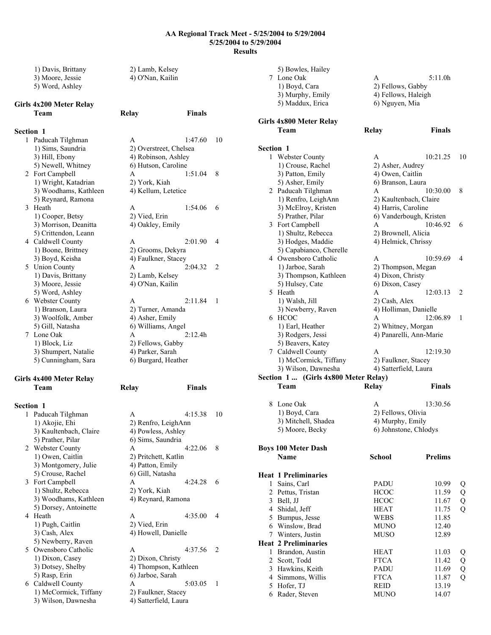1) Davis, Brittany 2) Lamb, Kelsey 3) Moore, Jessie 4) O'Nan, Kailin 5) Word, Ashley

**Team Relay Finals** 

# **Girls 4x200 Meter Relay**

## **Section 1**

1 Paducah Tilghman A 1:47.60 10 1) Sims, Saundria 2) Overstreet, Chelsea 3) Hill, Ebony 4) Robinson, Ashley 5) Newell, Whitney 6) Hutson, Caroline 2 Fort Campbell A 1:51.04 8 1) Wright, Katadrian 2) York, Kiah 3) Woodhams, Kathleen 4) Kellum, Letetice 5) Reynard, Ramona 3 Heath A 1:54.06 6<br>1) Cooper, Betsy 2) Vied, Erin 1) Cooper, Betsy 2) Vied, Erin<br>3) Morrison, Deanitta 4) Oakley, Emily 3) Morrison, Deanitta 5) Crittendon, Leann 4 Caldwell County A 2:01.90 4 1) Boone, Brittney 2) Grooms, Dekyra 3) Boyd, Keisha 4) Faulkner, Stacey 5 Union County A 2:04.32 2 1) Davis, Brittany 2) Lamb, Kelsey 3) Moore, Jessie 4) O'Nan, Kailin 5) Word, Ashley 6 Webster County A 2:11.84 1 1) Branson, Laura 2) Turner, Amanda 3) Woolfolk, Amber 4) Asher, Emily<br>5) Gill, Natasha 6) Williams, An 7 Lone Oak A<br>1) Block, Liz. 2) 3) Shumpert, Natalie 4) Parker, Sarah 5) Cunningham, Sara 6) Burgard, Heather

# **Girls 4x400 Meter Relay Team Relay Finals**

| <b>Section 1</b> |                        |                       |         |    |
|------------------|------------------------|-----------------------|---------|----|
| 1                | Paducah Tilghman       | A                     | 4:15.38 | 10 |
|                  | 1) Akojie, Ehi         | 2) Renfro, LeighAnn   |         |    |
|                  | 3) Kaultenbach, Claire | 4) Powless, Ashley    |         |    |
|                  | 5) Prather, Pilar      | 6) Sims, Saundria     |         |    |
|                  | 2 Webster County       | A                     | 4:22.06 | 8  |
|                  | 1) Owen, Caitlin       | 2) Pritchett, Katlin  |         |    |
|                  | 3) Montgomery, Julie   | 4) Patton, Emily      |         |    |
|                  | 5) Crouse, Rachel      | 6) Gill, Natasha      |         |    |
|                  | 3 Fort Campbell        | A                     | 4:24.28 | 6  |
|                  | 1) Shultz, Rebecca     | 2) York, Kiah         |         |    |
|                  | 3) Woodhams, Kathleen  | 4) Reynard, Ramona    |         |    |
|                  | 5) Dorsey, Antoinette  |                       |         |    |
| 4                | Heath                  | A                     | 4:35.00 | 4  |
|                  | 1) Pugh, Caitlin       | 2) Vied, Erin         |         |    |
|                  | 3) Cash, Alex          | 4) Howell, Danielle   |         |    |
|                  | 5) Newberry, Raven     |                       |         |    |
|                  | 5 Owensboro Catholic   | A                     | 4:37.56 | 2  |
|                  | 1) Dixon, Casey        | 2) Dixon, Christy     |         |    |
|                  | 3) Dotsey, Shelby      | 4) Thompson, Kathleen |         |    |
|                  | 5) Rasp, Erin          | 6) Jarboe, Sarah      |         |    |
|                  | 6 Caldwell County      | A                     | 5:03.05 | 1  |
|                  | 1) McCormick, Tiffany  | 2) Faulkner, Stacey   |         |    |
|                  | 3) Wilson, Dawnesha    | 4) Satterfield, Laura |         |    |

6) Williams, Angel<br>A $2:12.4h$ 

2) Fellows, Gabby

| Section                         |                     |                     |
|---------------------------------|---------------------|---------------------|
| Girls 4x800 Meter Relay<br>Team | Relay               | <b>Finals</b>       |
| 5) Maddux, Erica                | 6) Nguyen, Mia      |                     |
| 3) Murphy, Emily                | 4) Fellows, Haleigh |                     |
| 1) Boyd, Cara                   | 2) Fellows, Gabby   |                     |
| 7 Lone Oak                      | А                   | 5:11.0 <sub>h</sub> |
| 5) Bowles, Hailey               |                     |                     |

| 1      | Webster County                       | A                       | 10:21.25       | 10     |
|--------|--------------------------------------|-------------------------|----------------|--------|
|        | 1) Crouse, Rachel                    | 2) Asher, Audrey        |                |        |
|        | 3) Patton, Emily                     | 4) Owen, Caitlin        |                |        |
|        | 5) Asher, Emily                      | 6) Branson, Laura       |                |        |
|        | 2 Paducah Tilghman                   | A                       | 10:30.00       | 8      |
|        | 1) Renfro, LeighAnn                  | 2) Kaultenbach, Claire  |                |        |
|        | 3) McElroy, Kristen                  | 4) Harris, Caroline     |                |        |
|        | 5) Prather, Pilar                    | 6) Vanderbough, Kristen |                |        |
|        | 3 Fort Campbell                      | A                       | 10:46.92       | 6      |
|        | 1) Shultz, Rebecca                   | 2) Brownell, Alicia     |                |        |
|        | 3) Hodges, Maddie                    | 4) Helmick, Chrissy     |                |        |
|        | 5) Capabianco, Cherelle              |                         |                |        |
|        | 4 Owensboro Catholic                 | A                       | 10:59.69       | 4      |
|        | 1) Jarboe, Sarah                     |                         |                |        |
|        |                                      | 2) Thompson, Megan      |                |        |
|        | 3) Thompson, Kathleen                | 4) Dixon, Christy       |                |        |
|        | 5) Hulsey, Cate                      | 6) Dixon, Casey         |                |        |
|        | 5 Heath                              | A                       | 12:03.13       | 2      |
|        | 1) Walsh, Jill                       | 2) Cash, Alex           |                |        |
|        | 3) Newberry, Raven                   | 4) Holliman, Danielle   |                |        |
|        | 6 HCOC                               | A                       | 12:06.89       | 1      |
|        | 1) Earl, Heather                     | 2) Whitney, Morgan      |                |        |
|        | 3) Rodgers, Jessi                    | 4) Panarelli, Ann-Marie |                |        |
|        | 5) Beavers, Katey                    |                         |                |        |
|        | 7 Caldwell County                    | A                       | 12:19.30       |        |
|        | 1) McCormick, Tiffany                | 2) Faulkner, Stacey     |                |        |
|        | 3) Wilson, Dawnesha                  | 4) Satterfield, Laura   |                |        |
|        |                                      |                         |                |        |
|        | Section 1  (Girls 4x800 Meter Relay) |                         |                |        |
|        | Team                                 | Relay                   | <b>Finals</b>  |        |
|        |                                      |                         |                |        |
| 8      | Lone Oak                             | A                       | 13:30.56       |        |
|        |                                      |                         |                |        |
|        | 1) Boyd, Cara                        | 2) Fellows, Olivia      |                |        |
|        | 3) Mitchell, Shadea                  | 4) Murphy, Emily        |                |        |
|        | 5) Moore, Becky                      | 6) Johnstone, Chlodys   |                |        |
|        |                                      |                         |                |        |
|        | <b>Boys 100 Meter Dash</b>           |                         |                |        |
|        | Name                                 | <b>School</b>           | <b>Prelims</b> |        |
|        |                                      |                         |                |        |
|        | <b>Heat 1 Preliminaries</b>          |                         |                |        |
|        | 1 Sains, Carl                        | <b>PADU</b>             | 10.99          | Q      |
|        | 2 Pettus, Tristan                    | <b>HCOC</b>             | 11.59          | Q      |
|        | 3 Bell, JJ                           | HCOC                    | 11.67          | Q      |
| 4      | Shidal, Jeff                         | HEAT                    | 11.75          | Q      |
| 5      | Bumpus, Jesse                        | WEBS                    | 11.85          |        |
| 6      | Winslow, Brad                        | <b>MUNO</b>             | 12.40          |        |
|        | 7 Winters, Justin                    | <b>MUSO</b>             | 12.89          |        |
|        | <b>Heat 2 Preliminaries</b>          |                         |                |        |
| 1      | Brandon, Austin                      | <b>HEAT</b>             | 11.03          | Q      |
| 2      | Scott, Todd                          | <b>FTCA</b>             | 11.42          |        |
| 3      | Hawkins, Keith                       | PADU                    | 11.69          | Q<br>Q |
| 4      | Simmons, Willis                      | <b>FTCA</b>             | 11.87          | Q      |
| 5<br>6 | Hofer, TJ<br>Rader, Steven           | REID<br><b>MUNO</b>     | 13.19<br>14.07 |        |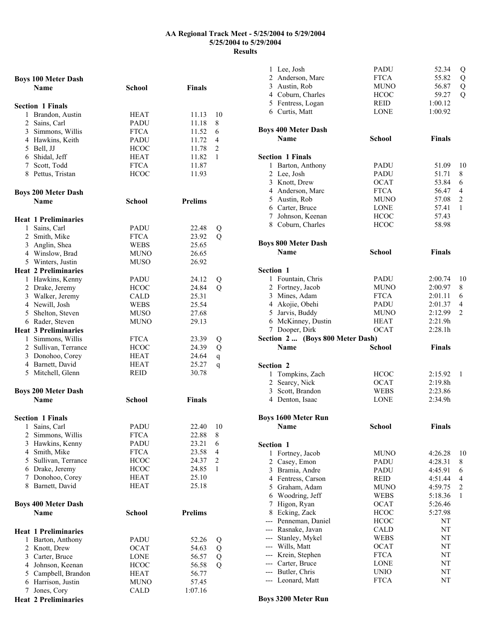| <b>Boys 100 Meter Dash</b>  |               |                         |  |
|-----------------------------|---------------|-------------------------|--|
| <b>Name</b>                 | School        | <b>Finals</b>           |  |
|                             |               |                         |  |
| <b>Section 1 Finals</b>     |               |                         |  |
| 1 Brandon, Austin           | HEAT          | 11.13<br>10             |  |
| 2 Sains, Carl               | PADU          | 11.18<br>8              |  |
| 3 Simmons, Willis           | <b>FTCA</b>   | 11.52<br>6              |  |
| 4 Hawkins, Keith            | PADU          | 11.72<br>4              |  |
| 5 Bell, JJ                  | <b>HCOC</b>   | 11.78<br>2              |  |
| 6 Shidal, Jeff              | <b>HEAT</b>   | 11.82<br>1              |  |
| 7 Scott, Todd               | <b>FTCA</b>   | 11.87                   |  |
|                             | <b>HCOC</b>   | 11.93                   |  |
| 8 Pettus, Tristan           |               |                         |  |
|                             |               |                         |  |
| <b>Boys 200 Meter Dash</b>  |               |                         |  |
| <b>Name</b>                 | School        | <b>Prelims</b>          |  |
|                             |               |                         |  |
| <b>Heat 1 Preliminaries</b> |               |                         |  |
| 1 Sains, Carl               | PADU          | 22.48<br>Q              |  |
| 2 Smith, Mike               | <b>FTCA</b>   | Q<br>23.92              |  |
| 3 Anglin, Shea              | WEBS          | 25.65                   |  |
| 4 Winslow, Brad             | MUNO          | 26.65                   |  |
| 5 Winters, Justin           | MUSO          | 26.92                   |  |
| <b>Heat 2 Preliminaries</b> |               |                         |  |
| 1 Hawkins, Kenny            | <b>PADU</b>   | 24.12<br>Q              |  |
| 2 Drake, Jeremy             | <b>HCOC</b>   | $\overline{Q}$<br>24.84 |  |
| 3 Walker, Jeremy            | CALD          | 25.31                   |  |
| 4 Newill, Josh              | WEBS          | 25.54                   |  |
| 5 Shelton, Steven           | MUSO          | 27.68                   |  |
| 6 Rader, Steven             | <b>MUNO</b>   | 29.13                   |  |
| <b>Heat 3 Preliminaries</b> |               |                         |  |
| 1 Simmons, Willis           | <b>FTCA</b>   | 23.39                   |  |
| 2 Sullivan, Terrance        | <b>HCOC</b>   | Q                       |  |
|                             |               | Q<br>24.39              |  |
| 3 Donohoo, Corey            | HEAT          | 24.64<br>$\mathbf q$    |  |
| 4 Barnett, David            | <b>HEAT</b>   | 25.27<br>q              |  |
| 5 Mitchell, Glenn           | REID          | 30.78                   |  |
|                             |               |                         |  |
| <b>Boys 200 Meter Dash</b>  |               |                         |  |
| Name                        | <b>School</b> | <b>Finals</b>           |  |
|                             |               |                         |  |
| <b>Section 1 Finals</b>     |               |                         |  |
| 1 Sains, Carl               | <b>PADU</b>   | 22.40<br>10             |  |
| 2 Simmons, Willis           | <b>FTCA</b>   | 22.88<br>8              |  |
| 3 Hawkins, Kenny            | <b>PADU</b>   | 23.21<br>6              |  |
| 4 Smith, Mike               | <b>FTCA</b>   | 23.58<br>4              |  |
| 5 Sullivan, Terrance        | <b>HCOC</b>   | 24.37<br>$\overline{2}$ |  |
| 6 Drake, Jeremy             | <b>HCOC</b>   | 24.85<br>1              |  |
| 7 Donohoo, Corey            | <b>HEAT</b>   | 25.10                   |  |
| 8 Barnett, David            | HEAT          | 25.18                   |  |
|                             |               |                         |  |
| <b>Boys 400 Meter Dash</b>  |               |                         |  |
| <b>Name</b>                 | School        | <b>Prelims</b>          |  |
|                             |               |                         |  |
|                             |               |                         |  |
| <b>Heat 1 Preliminaries</b> |               |                         |  |
| 1 Barton, Anthony           | PADU          | 52.26<br>Q              |  |
| 2 Knott, Drew               | <b>OCAT</b>   | Q<br>54.63              |  |
| 3 Carter, Bruce             | <b>LONE</b>   | Q<br>56.57              |  |
| 4 Johnson, Keenan           | <b>HCOC</b>   | Q<br>56.58              |  |
| 5 Campbell, Brandon         | HEAT          | 56.77                   |  |
| 6 Harrison, Justin          | MUNO          | 57.45                   |  |
| 7 Jones, Cory               | CALD          | 1:07.16                 |  |
| <b>Heat 2 Preliminaries</b> |               |                         |  |

|              | 1 Lee, Josh                                     | PADU                       | 52.34         | Q              |
|--------------|-------------------------------------------------|----------------------------|---------------|----------------|
|              | 2 Anderson, Marc                                | <b>FTCA</b>                | 55.82         | Q              |
|              | 3 Austin, Rob                                   | <b>MUNO</b>                | 56.87         | Q              |
|              | 4 Coburn, Charles                               | <b>HCOC</b>                | 59.27         | $\overline{Q}$ |
|              | 5 Fentress, Logan                               | REID                       | 1:00.12       |                |
|              | 6 Curtis, Matt                                  | <b>LONE</b>                | 1:00.92       |                |
|              |                                                 |                            |               |                |
|              | <b>Boys 400 Meter Dash</b>                      |                            |               |                |
|              | Name                                            | <b>School</b>              | <b>Finals</b> |                |
|              | <b>Section 1 Finals</b>                         |                            |               |                |
|              | 1 Barton, Anthony                               | PADU                       | 51.09         | 10             |
|              | 2 Lee, Josh                                     | PADU                       | 51.71         | 8              |
|              | 3 Knott, Drew                                   | <b>OCAT</b>                | 53.84         | 6              |
|              | 4 Anderson, Marc                                | <b>FTCA</b>                | 56.47         | 4              |
|              | 5 Austin, Rob                                   | <b>MUNO</b>                | 57.08         | 2              |
|              | 6 Carter, Bruce                                 | LONE                       | 57.41         | 1              |
|              | 7 Johnson, Keenan                               | <b>HCOC</b>                | 57.43         |                |
|              | 8 Coburn, Charles                               | <b>HCOC</b>                | 58.98         |                |
|              |                                                 |                            |               |                |
|              | <b>Boys 800 Meter Dash</b>                      |                            |               |                |
|              | <b>Name</b>                                     | <b>School</b>              | <b>Finals</b> |                |
| Section 1    |                                                 |                            |               |                |
|              | 1 Fountain, Chris                               | PADU                       | 2:00.74       | 10             |
|              | 2 Fortney, Jacob                                | <b>MUNO</b>                | 2:00.97       | 8              |
|              | 3 Mines, Adam                                   | <b>FTCA</b>                | 2:01.11       | 6              |
|              | 4 Akojie, Obehi                                 | PADU                       | 2:01.37       | 4              |
|              | 5 Jarvis, Buddy                                 | <b>MUNO</b>                | 2:12.99       | $\overline{c}$ |
|              | 6 McKinney, Dustin                              | HEAT                       | 2:21.9h       |                |
|              |                                                 |                            |               |                |
|              |                                                 |                            | 2:28.1h       |                |
|              | 7 Dooper, Dirk                                  | <b>OCAT</b>                |               |                |
|              | Section 2  (Boys 800 Meter Dash)<br><b>Name</b> | <b>School</b>              | <b>Finals</b> |                |
|              |                                                 |                            |               |                |
| Section 2    |                                                 |                            |               |                |
|              | 1 Tompkins, Zach                                | <b>HCOC</b>                | 2:15.92       | 1              |
|              | 2 Searcy, Nick                                  | <b>OCAT</b>                | 2:19.8h       |                |
|              | 3 Scott, Brandon                                | <b>WEBS</b>                | 2:23.86       |                |
|              | 4 Denton, Isaac                                 | <b>LONE</b>                | 2:34.9h       |                |
|              | <b>Boys 1600 Meter Run</b>                      |                            |               |                |
|              | Name                                            | School                     | Finals        |                |
|              |                                                 |                            |               |                |
| Section 1    |                                                 |                            |               |                |
| $\mathbf{1}$ | Fortney, Jacob                                  | <b>MUNO</b>                | 4:26.28       | 10             |
|              | 2 Casey, Emon                                   | PADU                       | 4:28.31       | 8              |
|              | 3 Bramia, Andre                                 | PADU                       | 4:45.91       | 6              |
|              | 4 Fentress, Carson                              | <b>REID</b>                | 4:51.44       | 4              |
|              | 5 Graham, Adam                                  | <b>MUNO</b>                | 4:59.75       | $\overline{c}$ |
| 6            | Woodring, Jeff                                  | <b>WEBS</b>                | 5:18.36       | 1              |
| 7            | Higon, Ryan                                     | <b>OCAT</b>                | 5:26.46       |                |
|              | 8 Ecking, Zack                                  | <b>HCOC</b>                | 5:27.98       |                |
|              | --- Penneman, Daniel                            | <b>HCOC</b>                | NT            |                |
|              | --- Rasnake, Javan                              | CALD                       | NT            |                |
| ---          | Stanley, Mykel                                  | <b>WEBS</b>                | NT            |                |
|              | --- Wills, Matt                                 | <b>OCAT</b>                | NT            |                |
|              | --- Krein, Stephen                              | <b>FTCA</b>                | NT            |                |
|              | --- Carter, Bruce                               | <b>LONE</b>                | NT            |                |
|              | --- Butler, Chris<br>--- Leonard, Matt          | <b>UNIO</b><br><b>FTCA</b> | NT<br>NΤ      |                |

**Boys 3200 Meter Run**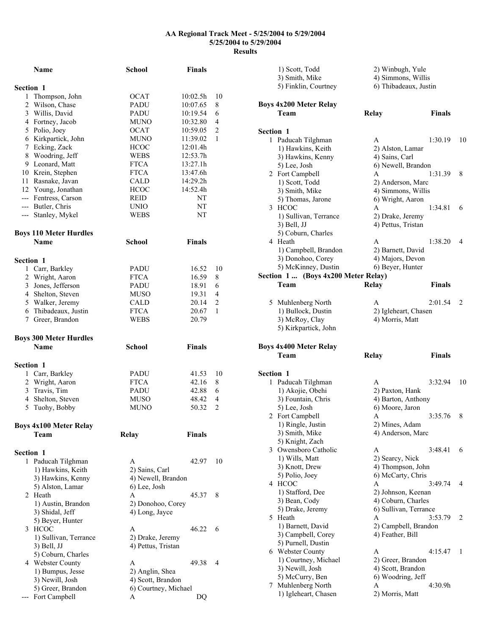|                  | <b>Name</b>                            | <b>School</b>        | <b>Finals</b> |                |
|------------------|----------------------------------------|----------------------|---------------|----------------|
|                  |                                        |                      |               |                |
| Section 1<br>1   | Thompson, John                         | OCAT                 | 10:02.5h      | 10             |
|                  | 2 Wilson, Chase                        | PADU                 | 10:07.65      | 8              |
|                  | 3 Willis, David                        | PADU                 | 10:19.54      | 6              |
|                  | 4 Fortney, Jacob                       | MUNO                 | 10:32.80      | 4              |
|                  | 5 Polio, Joey                          | <b>OCAT</b>          | 10:59.05      | $\overline{c}$ |
|                  | 6 Kirkpartick, John                    | <b>MUNO</b>          | 11:39.02      | 1              |
|                  | 7 Ecking, Zack                         | <b>HCOC</b>          | 12:01.4h      |                |
|                  | 8 Woodring, Jeff                       | WEBS                 | 12:53.7h      |                |
|                  | 9 Leonard, Matt                        | <b>FTCA</b>          | 13:27.1h      |                |
|                  | 10 Krein, Stephen                      | <b>FTCA</b>          | 13:47.6h      |                |
|                  | 11 Rasnake, Javan                      | CALD                 | 14:29.2h      |                |
|                  | 12 Young, Jonathan                     | <b>HCOC</b>          | 14:52.4h      |                |
|                  | --- Fentress, Carson                   | REID                 | NT            |                |
|                  | --- Butler, Chris                      | UNIO                 | NT            |                |
|                  | --- Stanley, Mykel                     | <b>WEBS</b>          | NΤ            |                |
|                  | <b>Boys 110 Meter Hurdles</b>          |                      |               |                |
|                  | <b>Name</b>                            | <b>School</b>        | <b>Finals</b> |                |
| Section 1        |                                        |                      |               |                |
|                  | 1 Carr, Barkley                        | PADU                 | 16.52         | 10             |
|                  | 2 Wright, Aaron                        | <b>FTCA</b>          | 16.59         | 8              |
|                  | 3 Jones, Jefferson                     | <b>PADU</b>          | 18.91         | 6              |
|                  | 4 Shelton, Steven                      | <b>MUSO</b>          | 19.31         | $\overline{4}$ |
|                  | 5 Walker, Jeremy                       | CALD                 | 20.14         | $\overline{c}$ |
|                  | 6 Thibadeaux, Justin                   | <b>FTCA</b>          | 20.67         | 1              |
|                  | 7 Greer, Brandon                       | <b>WEBS</b>          | 20.79         |                |
|                  | <b>Boys 300 Meter Hurdles</b>          |                      |               |                |
|                  | <b>Name</b>                            | <b>School</b>        | <b>Finals</b> |                |
| Section 1        |                                        |                      |               |                |
|                  | 1 Carr, Barkley                        | PADU                 | 41.53         | 10             |
|                  | 2 Wright, Aaron                        | <b>FTCA</b>          | 42.16         | 8              |
|                  | 3 Travis, Tim                          | <b>PADU</b>          | 42.88         | 6              |
|                  | 4 Shelton, Steven                      | <b>MUSO</b>          | 48.42         | 4              |
| 5                | Tuohy, Bobby                           | <b>MUNO</b>          | 50.32         | $\overline{c}$ |
|                  | <b>Boys 4x100 Meter Relay</b>          |                      |               |                |
|                  | Team                                   | <b>Relay</b>         | <b>Finals</b> |                |
| <b>Section 1</b> |                                        |                      |               |                |
|                  |                                        | A                    |               | 10             |
|                  | 1 Paducah Tilghman                     | 2) Sains, Carl       | 42.97         |                |
|                  | 1) Hawkins, Keith<br>3) Hawkins, Kenny | 4) Newell, Brandon   |               |                |
|                  | 5) Alston, Lamar                       | 6) Lee, Josh         |               |                |
|                  | 2 Heath                                | A                    | 45.37         | 8              |
|                  | 1) Austin, Brandon                     | 2) Donohoo, Corey    |               |                |
|                  | 3) Shidal, Jeff                        | 4) Long, Jayce       |               |                |
|                  | 5) Beyer, Hunter                       |                      |               |                |
| 3                | HCOC                                   | A                    | 46.22         | 6              |
|                  | 1) Sullivan, Terrance                  | 2) Drake, Jeremy     |               |                |
|                  | 3) Bell, JJ                            | 4) Pettus, Tristan   |               |                |
|                  | 5) Coburn, Charles                     |                      |               |                |
|                  | 4 Webster County                       | A                    | 49.38         | 4              |
|                  | 1) Bumpus, Jesse                       | 2) Anglin, Shea      |               |                |
|                  | 3) Newill, Josh                        | 4) Scott, Brandon    |               |                |
|                  | 5) Greer, Brandon                      | 6) Courtney, Michael |               |                |
|                  | Fort Campbell                          | A                    | DQ            |                |

|                  | 1) Scott, Todd                           | 2) Winbugh, Yule                       |                    |    |
|------------------|------------------------------------------|----------------------------------------|--------------------|----|
|                  | 3) Smith, Mike                           |                                        | 4) Simmons, Willis |    |
|                  | 5) Finklin, Courtney                     | 6) Thibadeaux, Justin                  |                    |    |
|                  | <b>Boys 4x200 Meter Relay</b>            |                                        |                    |    |
|                  | Team                                     | Relay                                  | <b>Finals</b>      |    |
| <b>Section 1</b> |                                          |                                        |                    |    |
|                  | 1 Paducah Tilghman                       | A                                      | 1:30.19            | 10 |
|                  | 1) Hawkins, Keith                        | 2) Alston, Lamar                       |                    |    |
|                  |                                          | 4) Sains, Carl                         |                    |    |
|                  | 3) Hawkins, Kenny                        |                                        |                    |    |
|                  | 5) Lee, Josh                             | 6) Newell, Brandon                     | 1:31.39            | 8  |
|                  | 2 Fort Campbell                          | A                                      |                    |    |
|                  | 1) Scott, Todd                           | 2) Anderson, Marc                      |                    |    |
|                  | 3) Smith, Mike                           | 4) Simmons, Willis<br>6) Wright, Aaron |                    |    |
|                  | 5) Thomas, Jarone<br>3 HCOC              | A                                      | 1:34.81            | 6  |
|                  |                                          |                                        |                    |    |
|                  | 1) Sullivan, Terrance                    | 2) Drake, Jeremy                       |                    |    |
|                  | 3) Bell, JJ                              | 4) Pettus, Tristan                     |                    |    |
|                  | 5) Coburn, Charles                       |                                        |                    |    |
|                  | 4 Heath                                  | A                                      | 1:38.20            | 4  |
|                  | 1) Campbell, Brandon                     | 2) Barnett, David                      |                    |    |
|                  | 3) Donohoo, Corey                        | 4) Majors, Devon                       |                    |    |
|                  | 5) McKinney, Dustin                      | 6) Beyer, Hunter                       |                    |    |
|                  | Section 1  (Boys 4x200 Meter Relay)      |                                        |                    |    |
|                  | Team                                     | Relay                                  | <b>Finals</b>      |    |
|                  | 5 Muhlenberg North                       | A                                      | 2:01.54            | 2  |
|                  | 1) Bullock, Dustin                       | 2) Igleheart, Chasen                   |                    |    |
|                  | 3) McRoy, Clay                           | 4) Morris, Matt                        |                    |    |
|                  | 5) Kirkpartick, John                     |                                        |                    |    |
|                  |                                          |                                        |                    |    |
|                  |                                          |                                        |                    |    |
|                  | <b>Boys 4x400 Meter Relay</b>            |                                        |                    |    |
|                  | Team                                     | Relay                                  | <b>Finals</b>      |    |
|                  |                                          |                                        |                    |    |
| Section 1<br>1   |                                          | A                                      |                    | 10 |
|                  | Paducah Tilghman                         |                                        | 3:32.94            |    |
|                  | 1) Akojie, Obehi                         | 2) Paxton, Hank                        |                    |    |
|                  | 3) Fountain, Chris                       | 4) Barton, Anthony                     |                    |    |
|                  | 5) Lee, Josh                             | 6) Moore, Jaron                        |                    |    |
|                  | 2 Fort Campbell                          | A                                      | 3:35.76            | 8  |
|                  | 1) Ringle, Justin                        | 2) Mines, Adam                         |                    |    |
|                  | 3) Smith, Mike                           | 4) Anderson, Marc                      |                    |    |
|                  | 5) Knight, Zach                          |                                        |                    |    |
|                  | 3 Owensboro Catholic                     | A                                      | 3:48.41            | 6  |
|                  | 1) Wills, Matt                           | 2) Searcy, Nick                        |                    |    |
|                  | 3) Knott, Drew                           | 4) Thompson, John                      |                    |    |
|                  | 5) Polio, Joey                           | 6) McCarty, Chris                      |                    |    |
|                  | 4 HCOC                                   | A                                      | 3:49.74            | 4  |
|                  | 1) Stafford, Dee                         | 2) Johnson, Keenan                     |                    |    |
|                  | 3) Bean, Cody                            | 4) Coburn, Charles                     |                    |    |
|                  | 5) Drake, Jeremy                         | 6) Sullivan, Terrance                  |                    |    |
|                  | 5 Heath                                  | A                                      | 3:53.79            | 2  |
|                  | 1) Barnett, David                        | 2) Campbell, Brandon                   |                    |    |
|                  | 3) Campbell, Corey                       | 4) Feather, Bill                       |                    |    |
|                  | 5) Purnell, Dustin                       |                                        |                    |    |
|                  | 6 Webster County                         | A                                      | 4:15.47            | 1  |
|                  | 1) Courtney, Michael                     | 2) Greer, Brandon                      |                    |    |
|                  | 3) Newill, Josh                          | 4) Scott, Brandon                      |                    |    |
|                  | 5) McCurry, Ben                          | 6) Woodring, Jeff                      |                    |    |
| 7                | Muhlenberg North<br>1) Igleheart, Chasen | A<br>2) Morris, Matt                   | 4:30.9h            |    |